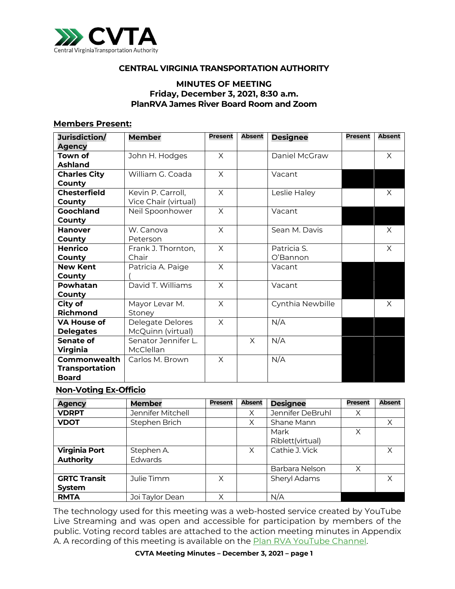

### **CENTRAL VIRGINIA TRANSPORTATION AUTHORITY**

#### **MINUTES OF MEETING Friday, December 3, 2021, 8:30 a.m. PlanRVA James River Board Room and Zoom**

#### **Members Present:**

| Jurisdiction/<br><b>Agency</b>                        | <b>Member</b>                             | <b>Present</b> | <b>Absent</b> | <b>Designee</b>         | <b>Present</b> | <b>Absent</b> |
|-------------------------------------------------------|-------------------------------------------|----------------|---------------|-------------------------|----------------|---------------|
| Town of<br>Ashland                                    | John H. Hodges                            | X              |               | Daniel McGraw           |                | X             |
| <b>Charles City</b><br>County                         | William G. Coada                          | $\times$       |               | Vacant                  |                |               |
| <b>Chesterfield</b><br>County                         | Kevin P. Carroll,<br>Vice Chair (virtual) | $\times$       |               | Leslie Haley            |                | X             |
| Goochland<br>County                                   | Neil Spoonhower                           | $\times$       |               | Vacant                  |                |               |
| <b>Hanover</b><br>County                              | W. Canova<br>Peterson                     | X              |               | Sean M. Davis           |                | X             |
| Henrico<br>County                                     | Frank J. Thornton,<br>Chair               | $\times$       |               | Patricia S.<br>O'Bannon |                | X             |
| <b>New Kent</b><br>County                             | Patricia A. Paige                         | X              |               | Vacant                  |                |               |
| Powhatan<br>County                                    | David T. Williams                         | $\times$       |               | Vacant                  |                |               |
| City of<br><b>Richmond</b>                            | Mayor Levar M.<br>Stoney                  | X              |               | Cynthia Newbille        |                | X             |
| <b>VA House of</b><br><b>Delegates</b>                | Delegate Delores<br>McQuinn (virtual)     | $\times$       |               | N/A                     |                |               |
| Senate of<br>Virginia                                 | Senator Jennifer L.<br>McClellan          |                | X             | N/A                     |                |               |
| Commonwealth<br><b>Transportation</b><br><b>Board</b> | Carlos M. Brown                           | $\times$       |               | N/A                     |                |               |

#### **Non-Voting Ex-Officio**

| <b>Agency</b>                            | <b>Member</b>                | <b>Present</b> | <b>Absent</b> | <b>Designee</b>          | <b>Present</b> | <b>Absent</b> |
|------------------------------------------|------------------------------|----------------|---------------|--------------------------|----------------|---------------|
| <b>VDRPT</b>                             | Jennifer Mitchell            |                | X             | Jennifer DeBruhl         | Χ              |               |
| <b>VDOT</b>                              | Stephen Brich                |                | Χ             | Shane Mann               |                | Χ             |
|                                          |                              |                |               | Mark<br>Riblett(virtual) | Χ              |               |
|                                          |                              |                |               | Cathie J. Vick           |                | X             |
| <b>Virginia Port</b><br><b>Authority</b> | Stephen A.<br><b>Edwards</b> |                | X             |                          |                |               |
|                                          |                              |                |               | Barbara Nelson           | X              |               |
| <b>GRTC Transit</b>                      | Julie Timm                   | X              |               | Sheryl Adams             |                | X             |
| <b>System</b>                            |                              |                |               |                          |                |               |
| <b>RMTA</b>                              | Joi Taylor Dean              | Χ              |               | N/A                      |                |               |

The technology used for this meeting was a web-hosted service created by YouTube Live Streaming and was open and accessible for participation by members of the public. Voting record tables are attached to the action meeting minutes in Appendix A. A recording of this meeting is available on the **[Plan RVA YouTube](https://www.youtube.com/watch?v=9T9RAUTcmGk) Channel**.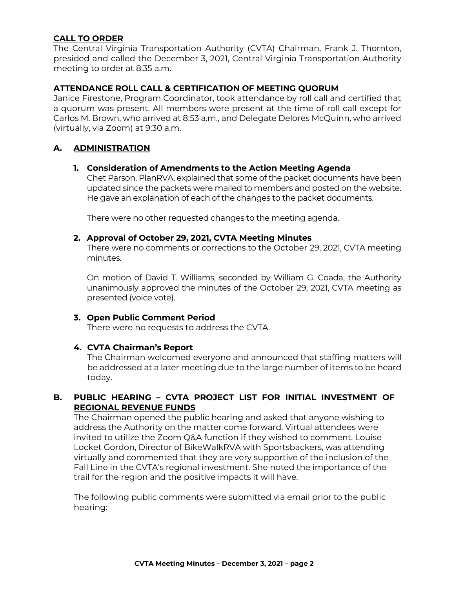## **CALL TO ORDER**

The Central Virginia Transportation Authority (CVTA) Chairman, Frank J. Thornton, presided and called the December 3, 2021, Central Virginia Transportation Authority meeting to order at 8:35 a.m.

#### **ATTENDANCE ROLL CALL & CERTIFICATION OF MEETING QUORUM**

Janice Firestone, Program Coordinator, took attendance by roll call and certified that a quorum was present. All members were present at the time of roll call except for Carlos M. Brown, who arrived at 8:53 a.m., and Delegate Delores McQuinn, who arrived (virtually, via Zoom) at 9:30 a.m.

#### **A. ADMINISTRATION**

#### **1. Consideration of Amendments to the Action Meeting Agenda**

Chet Parson, PlanRVA, explained that some of the packet documents have been updated since the packets were mailed to members and posted on the website. He gave an explanation of each of the changes to the packet documents.

There were no other requested changes to the meeting agenda.

#### **2. Approval of October 29, 2021, CVTA Meeting Minutes**

There were no comments or corrections to the October 29, 2021, CVTA meeting minutes.

On motion of David T. Williams, seconded by William G. Coada, the Authority unanimously approved the minutes of the October 29, 2021, CVTA meeting as presented (voice vote).

#### **3. Open Public Comment Period**

There were no requests to address the CVTA.

### **4. CVTA Chairman's Report**

The Chairman welcomed everyone and announced that staffing matters will be addressed at a later meeting due to the large number of items to be heard today.

### **B. PUBLIC HEARING – CVTA PROJECT LIST FOR INITIAL INVESTMENT OF REGIONAL REVENUE FUNDS**

The Chairman opened the public hearing and asked that anyone wishing to address the Authority on the matter come forward. Virtual attendees were invited to utilize the Zoom Q&A function if they wished to comment. Louise Locket Gordon, Director of BikeWalkRVA with Sportsbackers, was attending virtually and commented that they are very supportive of the inclusion of the Fall Line in the CVTA's regional investment. She noted the importance of the trail for the region and the positive impacts it will have.

The following public comments were submitted via email prior to the public hearing: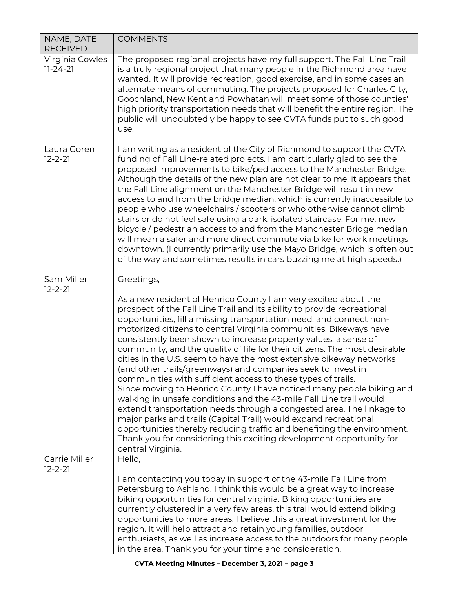| NAME, DATE<br><b>RECEIVED</b>     | <b>COMMENTS</b>                                                                                                                                                                                                                                                                                                                                                                                                                                                                                                                                                                                                                                                                                                                                                                                                                                                                                                                                                                                                                                                                                               |
|-----------------------------------|---------------------------------------------------------------------------------------------------------------------------------------------------------------------------------------------------------------------------------------------------------------------------------------------------------------------------------------------------------------------------------------------------------------------------------------------------------------------------------------------------------------------------------------------------------------------------------------------------------------------------------------------------------------------------------------------------------------------------------------------------------------------------------------------------------------------------------------------------------------------------------------------------------------------------------------------------------------------------------------------------------------------------------------------------------------------------------------------------------------|
| Virginia Cowles<br>$11 - 24 - 21$ | The proposed regional projects have my full support. The Fall Line Trail<br>is a truly regional project that many people in the Richmond area have<br>wanted. It will provide recreation, good exercise, and in some cases an<br>alternate means of commuting. The projects proposed for Charles City,<br>Goochland, New Kent and Powhatan will meet some of those counties'<br>high priority transportation needs that will benefit the entire region. The<br>public will undoubtedly be happy to see CVTA funds put to such good<br>use.                                                                                                                                                                                                                                                                                                                                                                                                                                                                                                                                                                    |
| Laura Goren<br>$12 - 2 - 21$      | I am writing as a resident of the City of Richmond to support the CVTA<br>funding of Fall Line-related projects. I am particularly glad to see the<br>proposed improvements to bike/ped access to the Manchester Bridge.<br>Although the details of the new plan are not clear to me, it appears that<br>the Fall Line alignment on the Manchester Bridge will result in new<br>access to and from the bridge median, which is currently inaccessible to<br>people who use wheelchairs / scooters or who otherwise cannot climb<br>stairs or do not feel safe using a dark, isolated staircase. For me, new<br>bicycle / pedestrian access to and from the Manchester Bridge median<br>will mean a safer and more direct commute via bike for work meetings<br>downtown. (I currently primarily use the Mayo Bridge, which is often out<br>of the way and sometimes results in cars buzzing me at high speeds.)                                                                                                                                                                                               |
| Sam Miller<br>$12 - 2 - 21$       | Greetings,                                                                                                                                                                                                                                                                                                                                                                                                                                                                                                                                                                                                                                                                                                                                                                                                                                                                                                                                                                                                                                                                                                    |
|                                   | As a new resident of Henrico County I am very excited about the<br>prospect of the Fall Line Trail and its ability to provide recreational<br>opportunities, fill a missing transportation need, and connect non-<br>motorized citizens to central Virginia communities. Bikeways have<br>consistently been shown to increase property values, a sense of<br>community, and the quality of life for their citizens. The most desirable<br>cities in the U.S. seem to have the most extensive bikeway networks<br>(and other trails/greenways) and companies seek to invest in<br>communities with sufficient access to these types of trails.<br>Since moving to Henrico County I have noticed many people biking and<br>walking in unsafe conditions and the 43-mile Fall Line trail would<br>extend transportation needs through a congested area. The linkage to<br>major parks and trails (Capital Trail) would expand recreational<br>opportunities thereby reducing traffic and benefiting the environment.<br>Thank you for considering this exciting development opportunity for<br>central Virginia. |
| Carrie Miller<br>$12 - 2 - 21$    | Hello,                                                                                                                                                                                                                                                                                                                                                                                                                                                                                                                                                                                                                                                                                                                                                                                                                                                                                                                                                                                                                                                                                                        |
|                                   | I am contacting you today in support of the 43-mile Fall Line from<br>Petersburg to Ashland. I think this would be a great way to increase<br>biking opportunities for central virginia. Biking opportunities are<br>currently clustered in a very few areas, this trail would extend biking<br>opportunities to more areas. I believe this a great investment for the<br>region. It will help attract and retain young families, outdoor<br>enthusiasts, as well as increase access to the outdoors for many people<br>in the area. Thank you for your time and consideration.                                                                                                                                                                                                                                                                                                                                                                                                                                                                                                                               |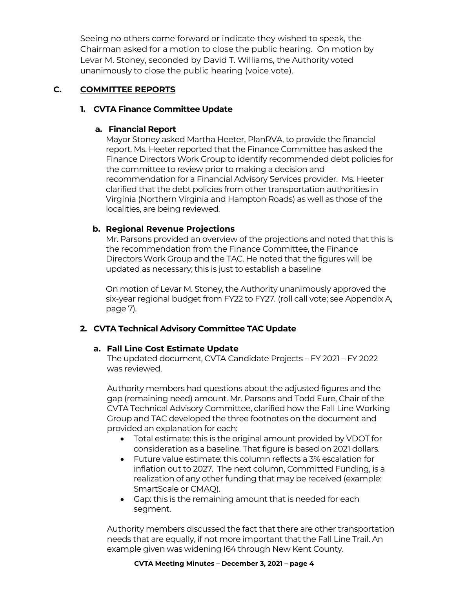Seeing no others come forward or indicate they wished to speak, the Chairman asked for a motion to close the public hearing. On motion by Levar M. Stoney, seconded by David T. Williams, the Authority voted unanimously to close the public hearing (voice vote).

# **C. COMMITTEE REPORTS**

# **1. CVTA Finance Committee Update**

# **a. Financial Report**

Mayor Stoney asked Martha Heeter, PlanRVA, to provide the financial report. Ms. Heeter reported that the Finance Committee has asked the Finance Directors Work Group to identify recommended debt policies for the committee to review prior to making a decision and recommendation for a Financial Advisory Services provider. Ms. Heeter clarified that the debt policies from other transportation authorities in Virginia (Northern Virginia and Hampton Roads) as well as those of the localities, are being reviewed.

# **b. Regional Revenue Projections**

Mr. Parsons provided an overview of the projections and noted that this is the recommendation from the Finance Committee, the Finance Directors Work Group and the TAC. He noted that the figures will be updated as necessary; this is just to establish a baseline

On motion of Levar M. Stoney, the Authority unanimously approved the six-year regional budget from FY22 to FY27. (roll call vote; see Appendix A, page 7).

# **2. CVTA Technical Advisory Committee TAC Update**

# **a. Fall Line Cost Estimate Update**

The updated document, CVTA Candidate Projects – FY 2021 – FY 2022 was reviewed.

Authority members had questions about the adjusted figures and the gap (remaining need) amount. Mr. Parsons and Todd Eure, Chair of the CVTA Technical Advisory Committee, clarified how the Fall Line Working Group and TAC developed the three footnotes on the document and provided an explanation for each:

- Total estimate: this is the original amount provided by VDOT for consideration as a baseline. That figure is based on 2021 dollars.
- Future value estimate: this column reflects a 3% escalation for inflation out to 2027. The next column, Committed Funding, is a realization of any other funding that may be received (example: SmartScale or CMAQ).
- Gap: this is the remaining amount that is needed for each segment.

Authority members discussed the fact that there are other transportation needs that are equally, if not more important that the Fall Line Trail. An example given was widening I64 through New Kent County.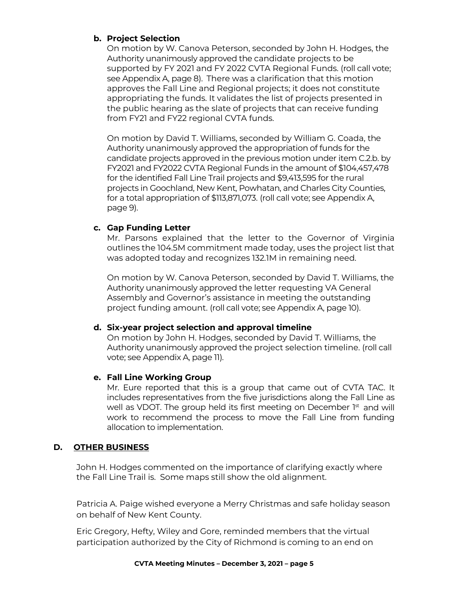# **b. Project Selection**

On motion by W. Canova Peterson, seconded by John H. Hodges, the Authority unanimously approved the candidate projects to be supported by FY 2021 and FY 2022 CVTA Regional Funds. (roll call vote; see Appendix A, page 8). There was a clarification that this motion approves the Fall Line and Regional projects; it does not constitute appropriating the funds. It validates the list of projects presented in the public hearing as the slate of projects that can receive funding from FY21 and FY22 regional CVTA funds.

On motion by David T. Williams, seconded by William G. Coada, the Authority unanimously approved the appropriation of funds for the candidate projects approved in the previous motion under item C.2.b. by FY2021 and FY2022 CVTA Regional Funds in the amount of \$104,457,478 for the identified Fall Line Trail projects and \$9,413,595 for the rural projects in Goochland, New Kent, Powhatan, and Charles City Counties, for a total appropriation of \$113,871,073. (roll call vote; see Appendix A, page 9).

# **c. Gap Funding Letter**

Mr. Parsons explained that the letter to the Governor of Virginia outlines the 104.5M commitment made today, uses the project list that was adopted today and recognizes 132.1M in remaining need.

On motion by W. Canova Peterson, seconded by David T. Williams, the Authority unanimously approved the letter requesting VA General Assembly and Governor's assistance in meeting the outstanding project funding amount. (roll call vote; see Appendix A, page 10).

# **d. Six-year project selection and approval timeline**

On motion by John H. Hodges, seconded by David T. Williams, the Authority unanimously approved the project selection timeline. (roll call vote; see Appendix A, page 11).

# **e. Fall Line Working Group**

Mr. Eure reported that this is a group that came out of CVTA TAC. It includes representatives from the five jurisdictions along the Fall Line as well as VDOT. The group held its first meeting on December 1st and will work to recommend the process to move the Fall Line from funding allocation to implementation.

# **D. OTHER BUSINESS**

John H. Hodges commented on the importance of clarifying exactly where the Fall Line Trail is. Some maps still show the old alignment.

Patricia A. Paige wished everyone a Merry Christmas and safe holiday season on behalf of New Kent County.

Eric Gregory, Hefty, Wiley and Gore, reminded members that the virtual participation authorized by the City of Richmond is coming to an end on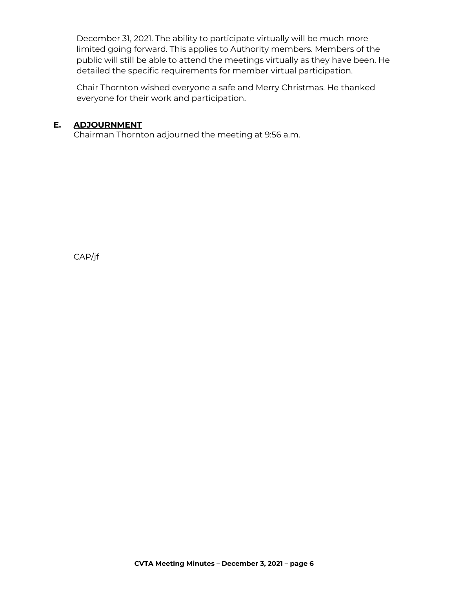December 31, 2021. The ability to participate virtually will be much more limited going forward. This applies to Authority members. Members of the public will still be able to attend the meetings virtually as they have been. He detailed the specific requirements for member virtual participation.

Chair Thornton wished everyone a safe and Merry Christmas. He thanked everyone for their work and participation.

### **E. ADJOURNMENT**

Chairman Thornton adjourned the meeting at 9:56 a.m.

CAP/jf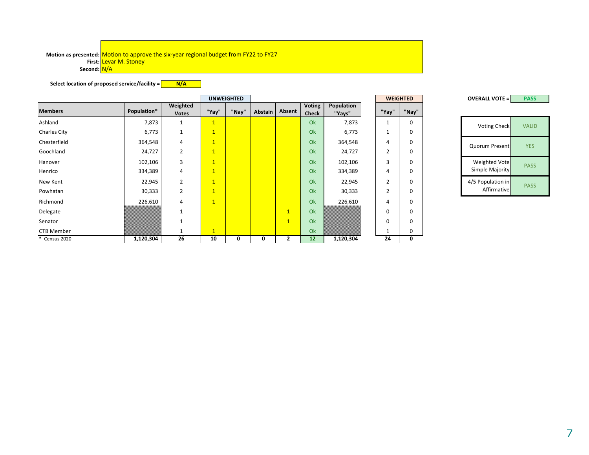#### Motion as presented: <mark>Motion to approve the six-year regional budget from FY22 to FY27</mark> **First:** Levar M. Stoney **Second:** N/A

**Select location of proposed service/facility = N/A**

|                   |             |                          |                | <b>UNWEIGHTED</b> |         |                |                        |                      |                | <b>WEIGHTED</b> |  |  |  | <b>OVERALL VOTE =</b> |  |  |  | <b>PASS</b>  |  |
|-------------------|-------------|--------------------------|----------------|-------------------|---------|----------------|------------------------|----------------------|----------------|-----------------|--|--|--|-----------------------|--|--|--|--------------|--|
| <b>Members</b>    | Population* | Weighted<br><b>Votes</b> | "Yay"          | "Nay"             | Abstain | Absent         | Voting<br><b>Check</b> | Population<br>"Yays" | "Yay"          | "Nay"           |  |  |  |                       |  |  |  |              |  |
| Ashland           | 7,873       | $\mathbf{1}$             | $\mathbf{1}$   |                   |         |                | Ok                     | 7,873                | ᆚ              | 0               |  |  |  | Voting Check          |  |  |  | <b>VALID</b> |  |
| Charles City      | 6,773       | $\mathbf{1}$             | $\overline{1}$ |                   |         |                | Ok                     | 6,773                | ᆚ              | 0               |  |  |  |                       |  |  |  |              |  |
| Chesterfield      | 364,548     | $\overline{4}$           | $\mathbf{1}$   |                   |         |                | Ok                     | 364,548              | 4              | 0               |  |  |  | Quorum Present        |  |  |  | <b>YES</b>   |  |
| Goochland         | 24,727      | $\overline{2}$           | $\overline{1}$ |                   |         |                | Ok                     | 24,727               | $\overline{2}$ | 0               |  |  |  |                       |  |  |  |              |  |
| Hanover           | 102,106     | 3                        | $\overline{1}$ |                   |         |                | Ok                     | 102,106              | 3              | 0               |  |  |  | Weighted Vote         |  |  |  | <b>PASS</b>  |  |
| Henrico           | 334,389     | $\overline{4}$           | $\overline{1}$ |                   |         |                | Ok                     | 334,389              | 4              | 0               |  |  |  | Simple Majority       |  |  |  |              |  |
| New Kent          | 22,945      | $\overline{2}$           | $\overline{1}$ |                   |         |                | Ok                     | 22,945               | $\overline{2}$ | 0               |  |  |  | 4/5 Population in     |  |  |  | <b>PASS</b>  |  |
| Powhatan          | 30,333      | $\overline{2}$           | $\overline{1}$ |                   |         |                | Ok                     | 30,333               | $\overline{2}$ | 0               |  |  |  | Affirmative           |  |  |  |              |  |
| Richmond          | 226,610     | $\overline{4}$           | $\overline{1}$ |                   |         |                | Ok                     | 226,610              | 4              | 0               |  |  |  |                       |  |  |  |              |  |
| Delegate          |             | $\mathbf{1}$             |                |                   |         | $\overline{1}$ | Ok                     |                      | $\mathbf 0$    | 0               |  |  |  |                       |  |  |  |              |  |
| Senator           |             | $\mathbf{1}$             |                |                   |         | $\overline{1}$ | Ok                     |                      | $\Omega$       | 0               |  |  |  |                       |  |  |  |              |  |
| <b>CTB Member</b> |             |                          | $\mathbf{1}$   |                   |         |                | Ok                     |                      |                | 0               |  |  |  |                       |  |  |  |              |  |
| * Census 2020     | 1,120,304   | 26                       | 10             | 0                 | 0       | 2              | 12                     | 1,120,304            | 24             | 0               |  |  |  |                       |  |  |  |              |  |

**PASS OVERALL VOTE =**

| <b>Voting Check</b>              | <b>VALID</b> |
|----------------------------------|--------------|
| Quorum Present                   | YFS          |
| Weighted Vote<br>Simple Majority | <b>PASS</b>  |
| 4/5 Population in<br>Affirmative | <b>PASS</b>  |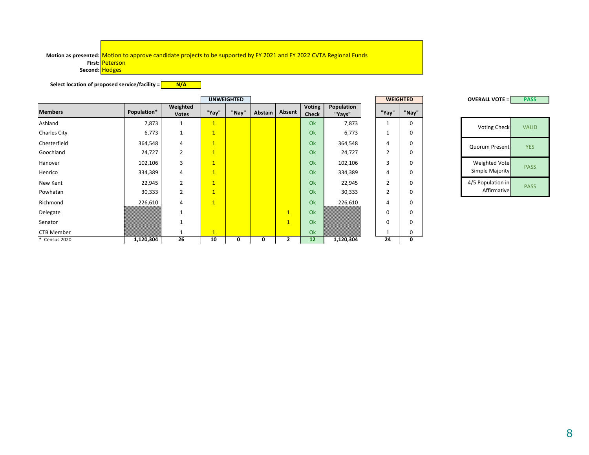#### Motion as presented: <mark>Motion to approve candidate projects to be supported by FY 2021 and FY 2022 CVTA Regional Funds</mark> **First:** Peterson **Second:** Hodges

**Select location of proposed service/facility =**  $N/A$ 

|                   |             |                          |                         | <b>UNWEIGHTED</b> |         |                |                               |                      |          | <b>WEIGHTED</b> | <b>OVERALL VOTE =</b> | <b>PAS</b>  |
|-------------------|-------------|--------------------------|-------------------------|-------------------|---------|----------------|-------------------------------|----------------------|----------|-----------------|-----------------------|-------------|
| <b>Members</b>    | Population* | Weighted<br><b>Votes</b> | "Yay"                   | "Nay"             | Abstain | Absent         | <b>Voting</b><br><b>Check</b> | Population<br>"Yays" | "Yay"    | "Nay"           |                       |             |
| Ashland           | 7,873       |                          | 1                       |                   |         |                | Ok                            | 7,873                |          | $\mathbf 0$     | <b>Voting Check</b>   | <b>VALI</b> |
| Charles City      | 6,773       |                          | $\mathbf{1}$            |                   |         |                | Ok                            | 6,773                |          | $\mathbf 0$     |                       |             |
| Chesterfield      | 364,548     | 4                        | $\mathbf{1}$            |                   |         |                | Ok                            | 364,548              | 4        | $\mathbf 0$     | Quorum Present        | <b>YES</b>  |
| Goochland         | 24,727      | $\overline{2}$           | $\overline{\mathbf{1}}$ |                   |         |                | Ok                            | 24,727               | 2        | 0               |                       |             |
| Hanover           | 102,106     | $\overline{3}$           | $\mathbf{1}$            |                   |         |                | Ok                            | 102,106              | 3        | $\mathbf 0$     | Weighted Vote         | PAS:        |
| Henrico           | 334,389     | 4                        | $\mathbf{1}$            |                   |         |                | Ok                            | 334,389              | 4        | $\mathbf 0$     | Simple Majority       |             |
| New Kent          | 22,945      | $\overline{2}$           | $\mathbf{1}$            |                   |         |                | Ok                            | 22,945               |          | $\mathbf 0$     | 4/5 Population in     | PAS:        |
| Powhatan          | 30,333      | $\overline{2}$           | $\vert$ 1               |                   |         |                | Ok                            | 30,333               |          | $\mathbf 0$     | Affirmative           |             |
| Richmond          | 226,610     | 4                        | $\mathbf{1}$            |                   |         |                | Ok                            | 226,610              | 4        | 0               |                       |             |
| Delegate          |             |                          |                         |                   |         | $\overline{1}$ | Ok                            |                      |          | $\mathbf 0$     |                       |             |
| Senator           |             |                          |                         |                   |         | $\overline{1}$ | Ok                            |                      | $\Omega$ | $\mathbf 0$     |                       |             |
| <b>CTB Member</b> |             |                          | $\mathbf{1}$            |                   |         |                | Ok                            |                      |          | $\mathbf 0$     |                       |             |
| * Census 2020     | 1,120,304   | 26                       | 10                      | 0                 | 0       | ∠              | 12                            | 1,120,304            | 24       | 0               |                       |             |

**PASS** Weighted Vote<br>Simple Majority PASS 4/5 Population in<br>Affirmative PASS VALID **UNWEIGHTED WEIGHTED OVERALL VOTE =**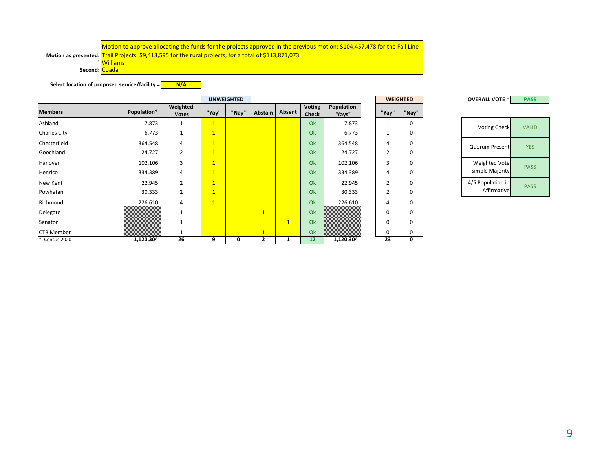**` Second:** Coada

**Select location of proposed service/facility = N/A**

|                     |             |                          | <b>UNWEIGHTED</b>       |       |                |                |                        |                      |  | <b>WEIGHTED</b> | <b>OVERALL VOTE =</b> | <b>PASS</b>         |              |
|---------------------|-------------|--------------------------|-------------------------|-------|----------------|----------------|------------------------|----------------------|--|-----------------|-----------------------|---------------------|--------------|
| <b>Members</b>      | Population* | Weighted<br><b>Votes</b> | "Yay"                   | "Nay" | Abstain        | Absent         | Voting<br><b>Check</b> | Population<br>"Yays" |  | "Yay"           | "Nay"                 |                     |              |
| Ashland             | 7,873       |                          | $\mathbf{1}$            |       |                |                | Ok                     | 7,873                |  |                 | 0                     | <b>Voting Check</b> | <b>VALID</b> |
| <b>Charles City</b> | 6,773       | 1                        | $\overline{\mathbf{1}}$ |       |                |                | Ok                     | 6,773                |  | 1               | 0                     |                     |              |
| Chesterfield        | 364,548     | 4                        | $\mathbf{1}$            |       |                |                | Ok                     | 364,548              |  | 4               | 0                     | Quorum Present      | <b>YES</b>   |
| Goochland           | 24,727      | $\overline{2}$           | $\overline{1}$          |       |                |                | Ok                     | 24,727               |  | $\overline{2}$  | 0                     |                     |              |
| Hanover             | 102,106     | 3                        | $\mathbf{1}$            |       |                |                | Ok                     | 102,106              |  | 3               | 0                     | Weighted Vote       | <b>PASS</b>  |
| Henrico             | 334,389     | 4                        | $\overline{1}$          |       |                |                | Ok                     | 334,389              |  | 4               | 0                     | Simple Majority     |              |
| New Kent            | 22,945      | $\overline{2}$           | $\overline{1}$          |       |                |                | Ok                     | 22,945               |  | $\overline{2}$  | 0                     | 4/5 Population in   | <b>PASS</b>  |
| Powhatan            | 30,333      | $\overline{2}$           | $\mathbf{1}$            |       |                |                | Ok                     | 30,333               |  | $\overline{2}$  | 0                     | Affirmative         |              |
| Richmond            | 226,610     | 4                        | $\overline{1}$          |       |                |                | Ok                     | 226,610              |  | 4               | 0                     |                     |              |
| Delegate            |             |                          |                         |       | $\overline{1}$ |                | Ok                     |                      |  | 0               | 0                     |                     |              |
| Senator             |             |                          |                         |       |                | $\overline{1}$ | Ok                     |                      |  | 0               | 0                     |                     |              |
| <b>CTB Member</b>   |             |                          |                         |       | $\mathbf{1}$   |                | Ok                     |                      |  | 0               | 0                     |                     |              |
| * Census 2020       | 1,120,304   | 26                       | 9                       | 0     |                |                | 12                     | 1,120,304            |  | 23              | 0                     |                     |              |

**PASS OVERALL VOTE =** Quorum Present YES Weighted Vote<br>Simple Majority PASS 4/5 Population in Opulation in PASS

9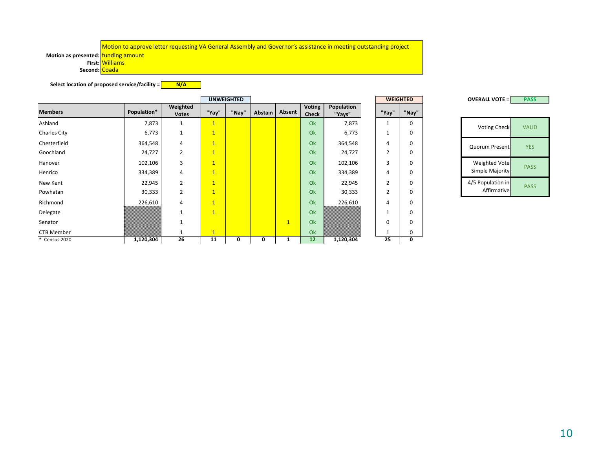Motion to approve letter requesting VA General Assembly and Governor's assistance in meeting outstanding project

**Motion as presented:** funding amount

**First:** Williams

Second: Coada

**Select location of proposed service/facility =**  $N/A$ 

|                     |             |                          |                | <b>UNWEIGHTED</b> |                |              |                        |                      |   |                | <b>WEIGHTED</b> | <b>OVERALL VOTE =</b> | <b>PASS</b>  |
|---------------------|-------------|--------------------------|----------------|-------------------|----------------|--------------|------------------------|----------------------|---|----------------|-----------------|-----------------------|--------------|
| <b>Members</b>      | Population* | Weighted<br><b>Votes</b> | "Yay"          | "Nay"             | <b>Abstain</b> | Absent       | Voting<br><b>Check</b> | Population<br>"Yays" |   | "Yay"          | "Nay"           |                       |              |
| Ashland             | 7,873       | $\mathbf{1}$             | $\mathbf{1}$   |                   |                |              | Ok                     | 7,873                |   | 1              | 0               | <b>Voting Check</b>   | <b>VALID</b> |
| <b>Charles City</b> | 6,773       | 1                        | $\overline{1}$ |                   |                |              | Ok                     | 6,773                | 1 |                | 0               |                       |              |
| Chesterfield        | 364,548     | 4                        | $\mathbf{1}$   |                   |                |              | Ok                     | 364,548              |   | 4              | 0               | Quorum Present        | <b>YES</b>   |
| Goochland           | 24,727      | $\overline{2}$           | $\overline{1}$ |                   |                |              | Ok                     | 24,727               |   | $\overline{2}$ | 0               |                       |              |
| Hanover             | 102,106     | 3                        | $\overline{1}$ |                   |                |              | Ok                     | 102,106              |   | 3              | 0               | Weighted Vote         | <b>PASS</b>  |
| Henrico             | 334,389     | 4                        | $\overline{1}$ |                   |                |              | Ok                     | 334,389              |   | 4              | 0               | Simple Majority       |              |
| New Kent            | 22,945      | $\overline{2}$           | $\overline{1}$ |                   |                |              | Ok                     | 22,945               |   | $\overline{2}$ | 0               | 4/5 Population in     | <b>PASS</b>  |
| Powhatan            | 30,333      | $\overline{2}$           | $\mathbf{1}$   |                   |                |              | Ok                     | 30,333               |   | $\overline{2}$ | 0               | Affirmative           |              |
| Richmond            | 226,610     | 4                        | $\overline{1}$ |                   |                |              | Ok                     | 226,610              |   | 4              | 0               |                       |              |
| Delegate            |             | $\overline{\phantom{a}}$ | $\overline{1}$ |                   |                |              | Ok                     |                      |   |                | 0               |                       |              |
| Senator             |             | $\mathbf{1}$             |                |                   |                | $\mathbf{1}$ | Ok                     |                      |   | 0              | 0               |                       |              |
| CTB Member          |             |                          | $\mathbf{1}$   |                   |                |              | Ok                     |                      |   |                | 0               |                       |              |
| * Census 2020       | 1,120,304   | 26                       | 11             | 0                 | 0              |              | 12                     | 1,120,304            |   | 25             | 0               |                       |              |

**PASS** 

| <b>Voting Check</b>              | VAI ID      |
|----------------------------------|-------------|
| <b>Quorum Present</b>            | YFS         |
| Weighted Vote<br>Simple Majority | <b>PASS</b> |
| 4/5 Population in<br>Affirmative | PASS        |